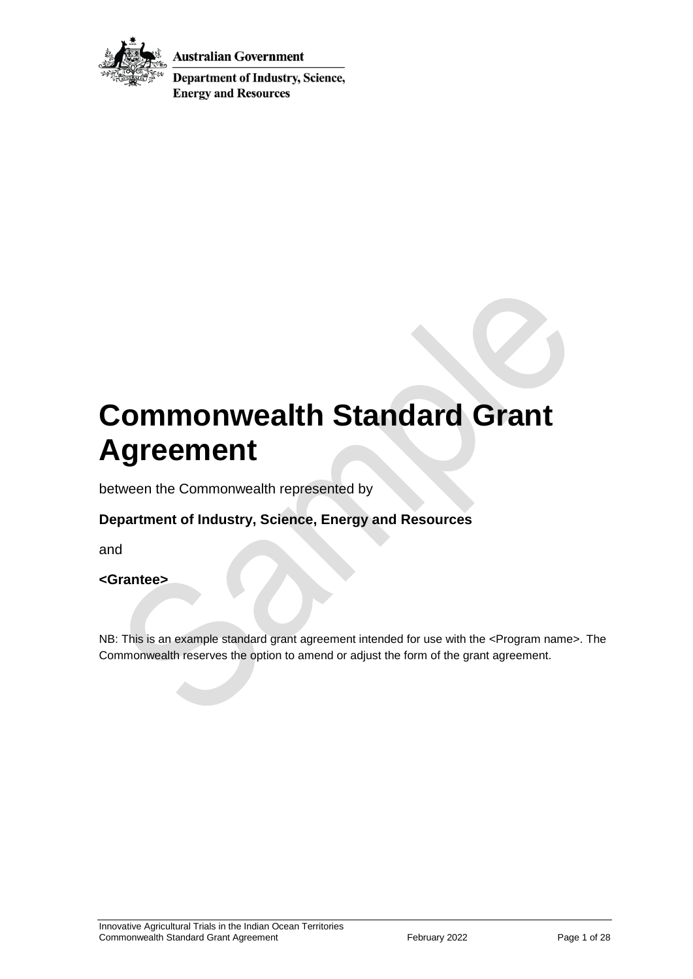

Australian Government

**Department of Industry, Science, Energy and Resources** 

# **Commonwealth Standard Grant Agreement**

between the Commonwealth represented by

### **Department of Industry, Science, Energy and Resources**

and

#### **<Grantee>**

NB: This is an example standard grant agreement intended for use with the <Program name>. The Commonwealth reserves the option to amend or adjust the form of the grant agreement.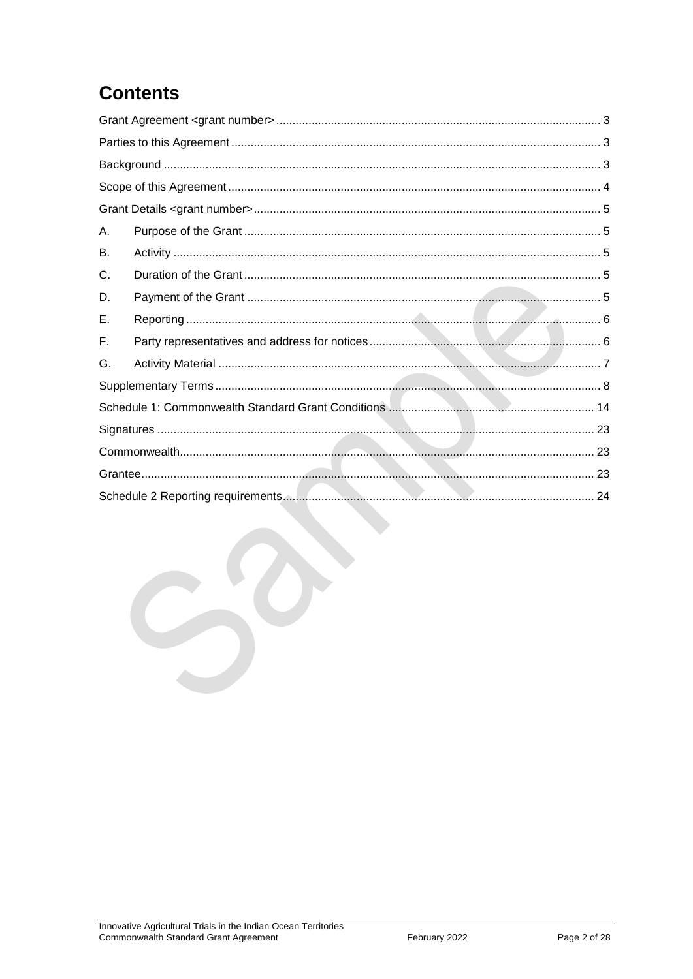## **Contents**

| Α. |  |  |  |  |  |
|----|--|--|--|--|--|
| В. |  |  |  |  |  |
| C. |  |  |  |  |  |
| D. |  |  |  |  |  |
| Е. |  |  |  |  |  |
| F. |  |  |  |  |  |
| G. |  |  |  |  |  |
|    |  |  |  |  |  |
|    |  |  |  |  |  |
|    |  |  |  |  |  |
|    |  |  |  |  |  |
|    |  |  |  |  |  |
|    |  |  |  |  |  |
|    |  |  |  |  |  |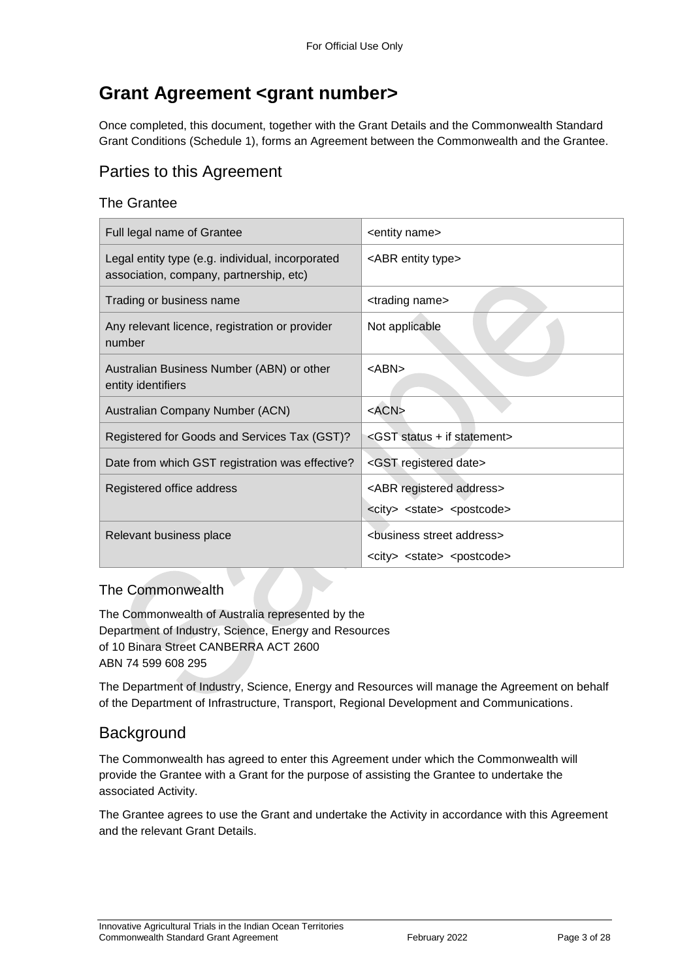## <span id="page-2-0"></span>**Grant Agreement <grant number>**

Once completed, this document, together with the Grant Details and the Commonwealth Standard Grant Conditions (Schedule 1), forms an Agreement between the Commonwealth and the Grantee.

### <span id="page-2-1"></span>Parties to this Agreement

#### The Grantee

| Full legal name of Grantee                                                                  | <entity name=""></entity>                                                                          |  |
|---------------------------------------------------------------------------------------------|----------------------------------------------------------------------------------------------------|--|
| Legal entity type (e.g. individual, incorporated<br>association, company, partnership, etc) | <abr entity="" type=""></abr>                                                                      |  |
| Trading or business name                                                                    | <trading name=""></trading>                                                                        |  |
| Any relevant licence, registration or provider<br>number                                    | Not applicable                                                                                     |  |
| Australian Business Number (ABN) or other<br>entity identifiers                             | $<$ ABN $>$                                                                                        |  |
| Australian Company Number (ACN)                                                             | $<$ ACN $>$                                                                                        |  |
| Registered for Goods and Services Tax (GST)?                                                | <gst +="" if="" statement="" status=""></gst>                                                      |  |
| Date from which GST registration was effective?                                             | <gst date="" registered=""></gst>                                                                  |  |
| Registered office address                                                                   | <abr address="" registered=""></abr>                                                               |  |
|                                                                                             | <city> <state> <postcode></postcode></state></city>                                                |  |
| Relevant business place                                                                     | <business address="" street=""><br/><city> <state> <postcode></postcode></state></city></business> |  |

#### The Commonwealth

The Commonwealth of Australia represented by the Department of Industry, Science, Energy and Resources of 10 Binara Street CANBERRA ACT 2600 ABN 74 599 608 295

The Department of Industry, Science, Energy and Resources will manage the Agreement on behalf of the Department of Infrastructure, Transport, Regional Development and Communications.

#### <span id="page-2-2"></span>**Background**

The Commonwealth has agreed to enter this Agreement under which the Commonwealth will provide the Grantee with a Grant for the purpose of assisting the Grantee to undertake the associated Activity.

The Grantee agrees to use the Grant and undertake the Activity in accordance with this Agreement and the relevant Grant Details.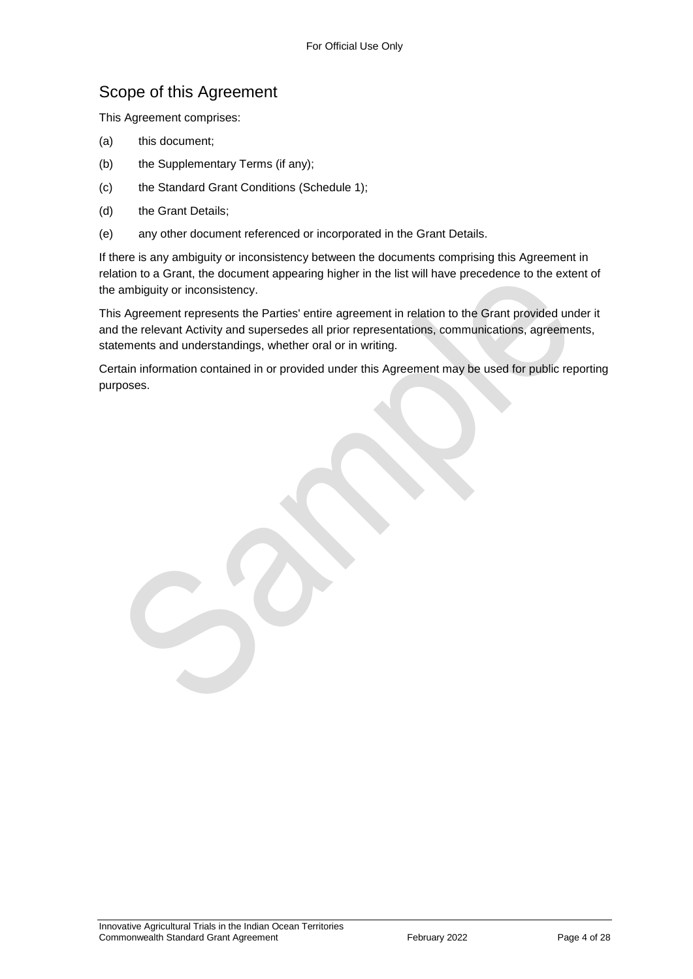### <span id="page-3-0"></span>Scope of this Agreement

This Agreement comprises:

- (a) this document;
- (b) the Supplementary Terms (if any);
- (c) the Standard Grant Conditions (Schedule 1);
- (d) the Grant Details;
- (e) any other document referenced or incorporated in the Grant Details.

If there is any ambiguity or inconsistency between the documents comprising this Agreement in relation to a Grant, the document appearing higher in the list will have precedence to the extent of the ambiguity or inconsistency.

This Agreement represents the Parties' entire agreement in relation to the Grant provided under it and the relevant Activity and supersedes all prior representations, communications, agreements, statements and understandings, whether oral or in writing.

Certain information contained in or provided under this Agreement may be used for public reporting purposes.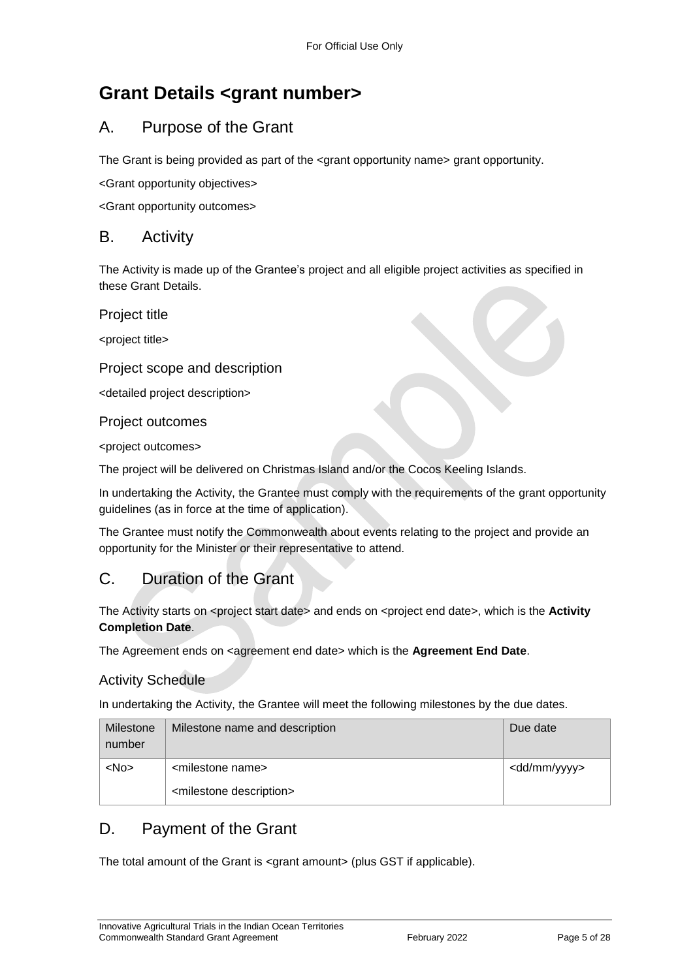## <span id="page-4-0"></span>**Grant Details <grant number>**

### <span id="page-4-1"></span>A. Purpose of the Grant

The Grant is being provided as part of the  $\leq$  arant opportunity name> grant opportunity.

<Grant opportunity objectives>

<Grant opportunity outcomes>

#### <span id="page-4-2"></span>B. Activity

The Activity is made up of the Grantee's project and all eligible project activities as specified in these Grant Details.

Project title

<project title>

#### Project scope and description

<detailed project description>

#### Project outcomes

<project outcomes>

The project will be delivered on Christmas Island and/or the Cocos Keeling Islands.

In undertaking the Activity, the Grantee must comply with the requirements of the grant opportunity guidelines (as in force at the time of application).

The Grantee must notify the Commonwealth about events relating to the project and provide an opportunity for the Minister or their representative to attend.

### <span id="page-4-3"></span>C. Duration of the Grant

The Activity starts on <project start date> and ends on <project end date>, which is the **Activity Completion Date**.

The Agreement ends on <agreement end date> which is the Agreement End Date.

#### Activity Schedule

In undertaking the Activity, the Grantee will meet the following milestones by the due dates.

| Milestone<br>number | Milestone name and description         | Due date                |
|---------------------|----------------------------------------|-------------------------|
| $<$ No $>$          | <milestone name=""></milestone>        | <dd mm="" yyyy=""></dd> |
|                     | <milestone description=""></milestone> |                         |

### <span id="page-4-4"></span>D. Payment of the Grant

The total amount of the Grant is <grant amount> (plus GST if applicable).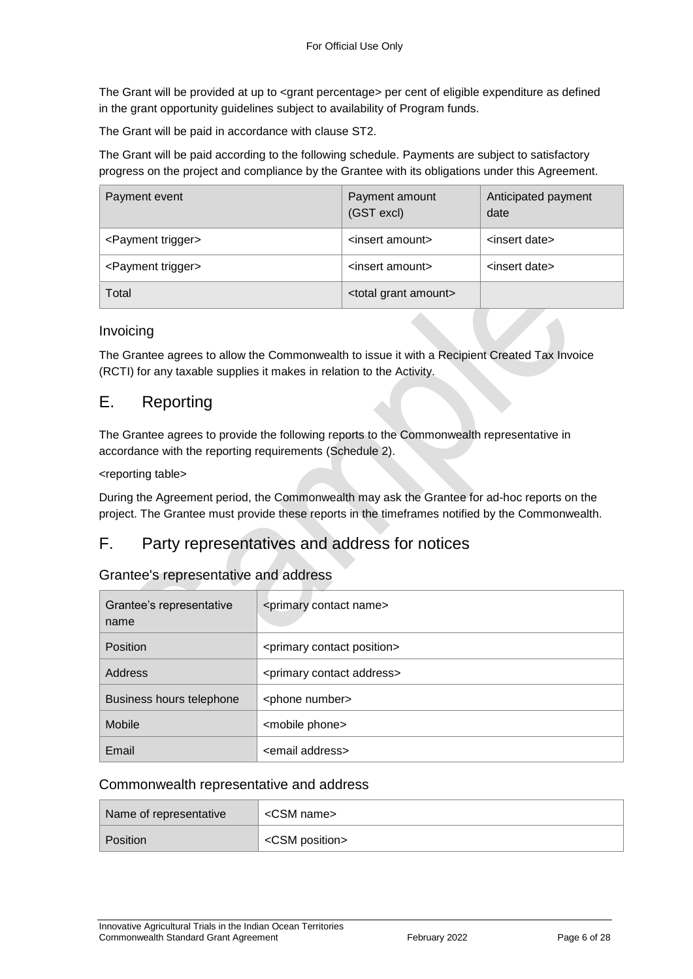The Grant will be provided at up to <grant percentage> per cent of eligible expenditure as defined in the grant opportunity guidelines subject to availability of Program funds.

The Grant will be paid in accordance with clause [ST2.](#page-7-1)

The Grant will be paid according to the following schedule. Payments are subject to satisfactory progress on the project and compliance by the Grantee with its obligations under this Agreement.

| Payment event                  | Payment amount<br>(GST excl)       | Anticipated payment<br>date |
|--------------------------------|------------------------------------|-----------------------------|
| <payment trigger=""></payment> | <insert amount=""></insert>        | <insert date=""></insert>   |
| <payment trigger=""></payment> | <insert amount=""></insert>        | <insert date=""></insert>   |
| Total                          | <total amount="" grant=""></total> |                             |

#### Invoicing

The Grantee agrees to allow the Commonwealth to issue it with a Recipient Created Tax Invoice (RCTI) for any taxable supplies it makes in relation to the Activity.

#### <span id="page-5-0"></span>E. Reporting

The Grantee agrees to provide the following reports to the Commonwealth representative in accordance with the reporting requirements (Schedule 2).

#### <reporting table>

During the Agreement period, the Commonwealth may ask the Grantee for ad-hoc reports on the project. The Grantee must provide these reports in the timeframes notified by the Commonwealth.

#### <span id="page-5-1"></span>F. Party representatives and address for notices

#### Grantee's representative and address

| Grantee's representative<br>name | <primary contact="" name=""></primary>     |
|----------------------------------|--------------------------------------------|
| <b>Position</b>                  | <primary contact="" position=""></primary> |
| Address                          | <primary address="" contact=""></primary>  |
| Business hours telephone         | <phone number=""></phone>                  |
| Mobile                           | <mobile phone=""></mobile>                 |
| Email                            | <email address=""></email>                 |

#### Commonwealth representative and address

| Name of representative | <csm name=""></csm>     |
|------------------------|-------------------------|
| Position               | <csm position=""></csm> |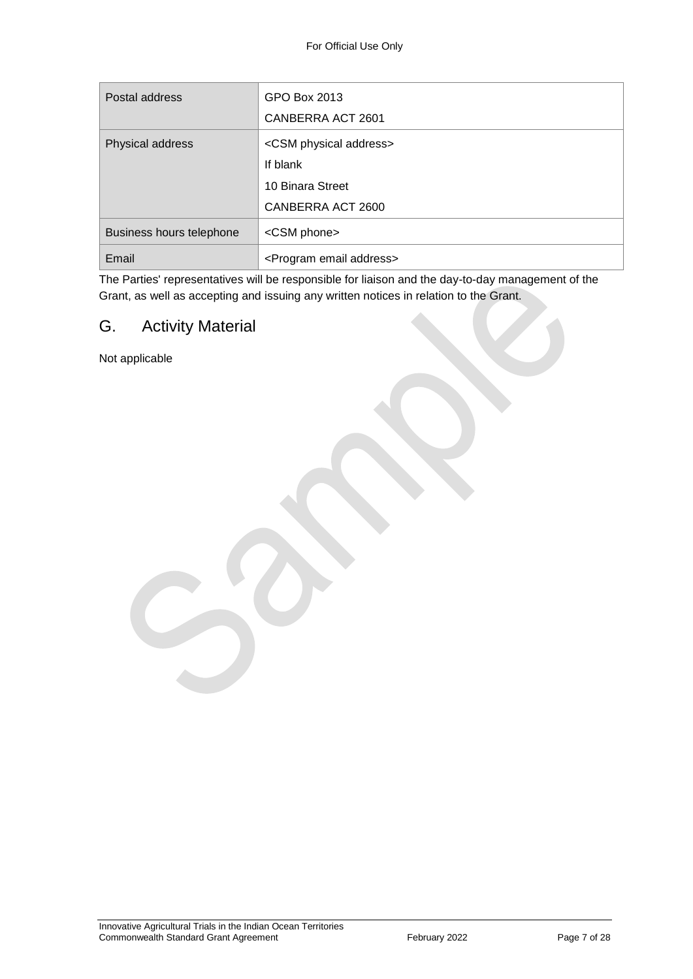| Postal address           | GPO Box 2013<br>CANBERRA ACT 2601               |
|--------------------------|-------------------------------------------------|
| Physical address         | <csm address="" physical=""><br/>If blank</csm> |
|                          | 10 Binara Street<br>CANBERRA ACT 2600           |
| Business hours telephone | <csm phone=""></csm>                            |
| Email                    | <program address="" email=""></program>         |

The Parties' representatives will be responsible for liaison and the day-to-day management of the Grant, as well as accepting and issuing any written notices in relation to the Grant.

### <span id="page-6-0"></span>G. Activity Material

Not applicable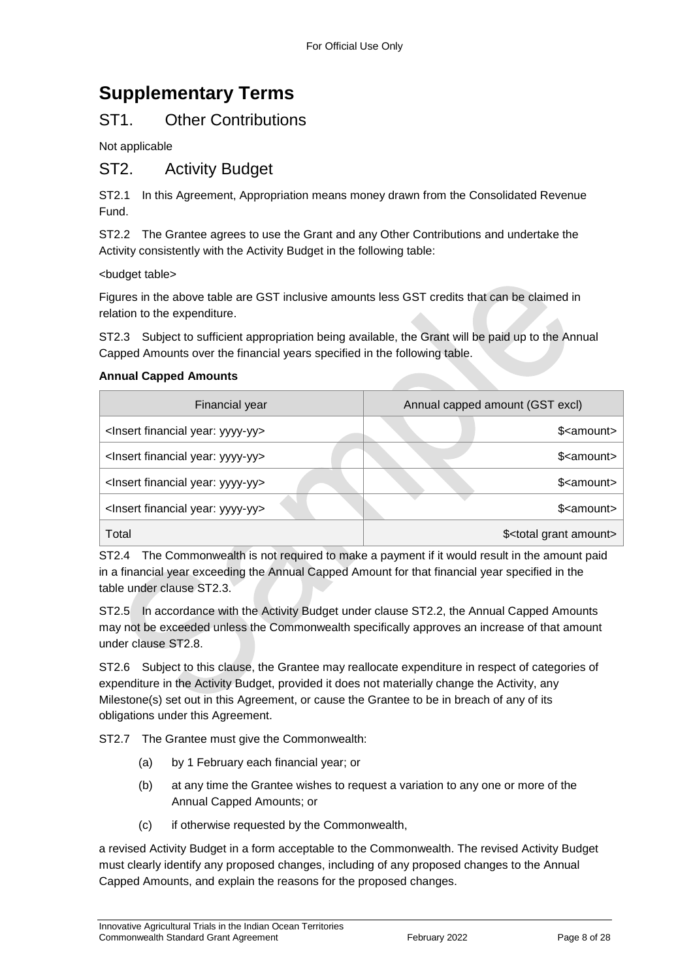## <span id="page-7-0"></span>**Supplementary Terms**

### ST1. Other Contributions

Not applicable

#### <span id="page-7-1"></span>ST2. Activity Budget

ST2.1 In this Agreement, Appropriation means money drawn from the Consolidated Revenue Fund.

ST2.2 The Grantee agrees to use the Grant and any Other Contributions and undertake the Activity consistently with the Activity Budget in the following table:

<budget table>

Figures in the above table are GST inclusive amounts less GST credits that can be claimed in relation to the expenditure.

ST2.3 Subject to sufficient appropriation being available, the Grant will be paid up to the Annual Capped Amounts over the financial years specified in the following table.

#### **Annual Capped Amounts**

| Financial year                                     | Annual capped amount (GST excl)       |  |
|----------------------------------------------------|---------------------------------------|--|
| <lnsert financial="" year:="" yyyy-yy=""></lnsert> | \$ <amount></amount>                  |  |
| <lnsert financial="" year:="" yyyy-yy=""></lnsert> | \$ <amount></amount>                  |  |
| <lnsert financial="" year:="" yyyy-yy=""></lnsert> | \$ <amount></amount>                  |  |
| <lnsert financial="" year:="" yyyy-yy=""></lnsert> | \$ <amount></amount>                  |  |
| Total                                              | \$ <total amount="" grant=""></total> |  |

ST2.4 The Commonwealth is not required to make a payment if it would result in the amount paid in a financial year exceeding the Annual Capped Amount for that financial year specified in the table under clause ST2.3.

ST2.5 In accordance with the Activity Budget under clause ST2.2, the Annual Capped Amounts may not be exceeded unless the Commonwealth specifically approves an increase of that amount under clause ST2.8.

ST2.6 Subject to this clause, the Grantee may reallocate expenditure in respect of categories of expenditure in the Activity Budget, provided it does not materially change the Activity, any Milestone(s) set out in this Agreement, or cause the Grantee to be in breach of any of its obligations under this Agreement.

ST2.7 The Grantee must give the Commonwealth:

- (a) by 1 February each financial year; or
- (b) at any time the Grantee wishes to request a variation to any one or more of the Annual Capped Amounts; or
- (c) if otherwise requested by the Commonwealth,

a revised Activity Budget in a form acceptable to the Commonwealth. The revised Activity Budget must clearly identify any proposed changes, including of any proposed changes to the Annual Capped Amounts, and explain the reasons for the proposed changes.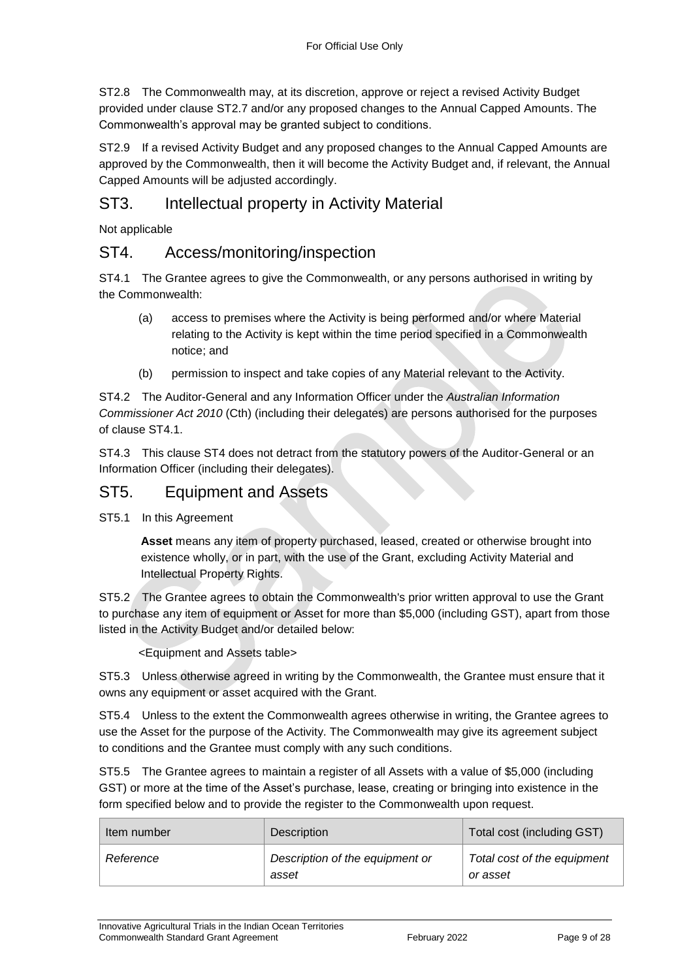ST2.8 The Commonwealth may, at its discretion, approve or reject a revised Activity Budget provided under clause ST2.7 and/or any proposed changes to the Annual Capped Amounts. The Commonwealth's approval may be granted subject to conditions.

ST2.9 If a revised Activity Budget and any proposed changes to the Annual Capped Amounts are approved by the Commonwealth, then it will become the Activity Budget and, if relevant, the Annual Capped Amounts will be adjusted accordingly.

### ST3. Intellectual property in Activity Material

Not applicable

#### ST4. Access/monitoring/inspection

ST4.1 The Grantee agrees to give the Commonwealth, or any persons authorised in writing by the Commonwealth:

- (a) access to premises where the Activity is being performed and/or where Material relating to the Activity is kept within the time period specified in a Commonwealth notice; and
- (b) permission to inspect and take copies of any Material relevant to the Activity.

ST4.2 The Auditor-General and any Information Officer under the *Australian Information Commissioner Act 2010* (Cth) (including their delegates) are persons authorised for the purposes of clause ST4.1.

ST4.3 This clause ST4 does not detract from the statutory powers of the Auditor-General or an Information Officer (including their delegates).

#### ST5. Equipment and Assets

ST5.1 In this Agreement

**Asset** means any item of property purchased, leased, created or otherwise brought into existence wholly, or in part, with the use of the Grant, excluding Activity Material and Intellectual Property Rights.

ST5.2 The Grantee agrees to obtain the Commonwealth's prior written approval to use the Grant to purchase any item of equipment or Asset for more than \$5,000 (including GST), apart from those listed in the Activity Budget and/or detailed below:

<Equipment and Assets table>

ST5.3 Unless otherwise agreed in writing by the Commonwealth, the Grantee must ensure that it owns any equipment or asset acquired with the Grant.

ST5.4 Unless to the extent the Commonwealth agrees otherwise in writing, the Grantee agrees to use the Asset for the purpose of the Activity. The Commonwealth may give its agreement subject to conditions and the Grantee must comply with any such conditions.

ST5.5 The Grantee agrees to maintain a register of all Assets with a value of \$5,000 (including GST) or more at the time of the Asset's purchase, lease, creating or bringing into existence in the form specified below and to provide the register to the Commonwealth upon request.

| Item number | Description                              | Total cost (including GST)              |
|-------------|------------------------------------------|-----------------------------------------|
| Reference   | Description of the equipment or<br>asset | Total cost of the equipment<br>or asset |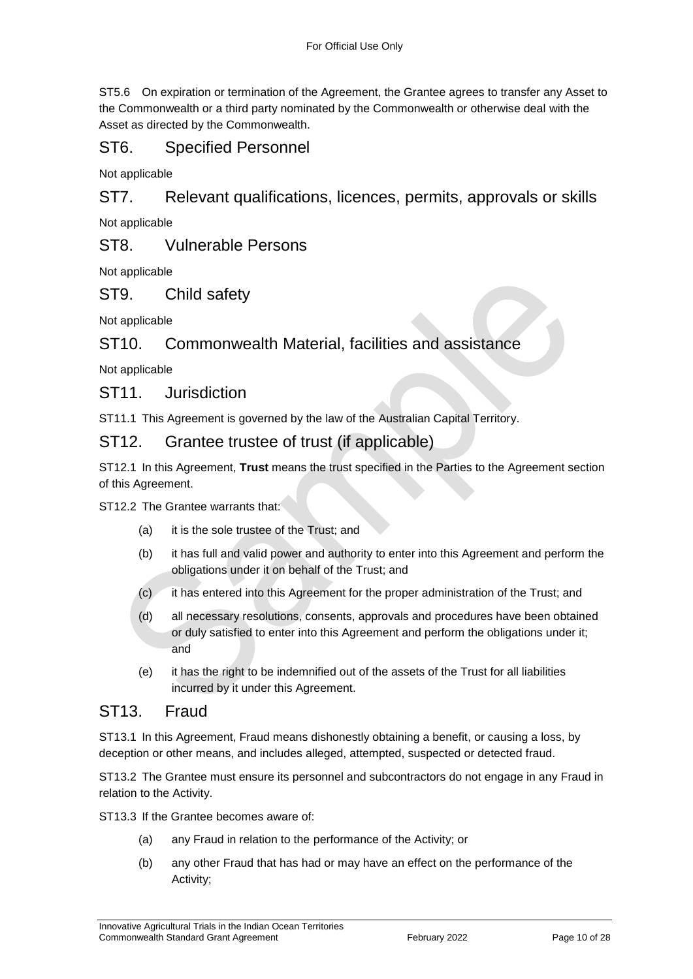ST5.6 On expiration or termination of the Agreement, the Grantee agrees to transfer any Asset to the Commonwealth or a third party nominated by the Commonwealth or otherwise deal with the Asset as directed by the Commonwealth.

### ST6. Specified Personnel

Not applicable

ST7. Relevant qualifications, licences, permits, approvals or skills

Not applicable

ST8. Vulnerable Persons

Not applicable

#### ST9. Child safety

Not applicable

#### ST10. Commonwealth Material, facilities and assistance

Not applicable

#### ST11. Jurisdiction

ST11.1 This Agreement is governed by the law of the Australian Capital Territory.

#### ST12. Grantee trustee of trust (if applicable)

ST12.1 In this Agreement, **Trust** means the trust specified in the Parties to the Agreement section of this Agreement.

ST12.2 The Grantee warrants that:

- (a) it is the sole trustee of the Trust; and
- (b) it has full and valid power and authority to enter into this Agreement and perform the obligations under it on behalf of the Trust; and
- (c) it has entered into this Agreement for the proper administration of the Trust; and
- (d) all necessary resolutions, consents, approvals and procedures have been obtained or duly satisfied to enter into this Agreement and perform the obligations under it; and
- (e) it has the right to be indemnified out of the assets of the Trust for all liabilities incurred by it under this Agreement.

#### ST<sub>13</sub> Fraud

ST13.1 In this Agreement, Fraud means dishonestly obtaining a benefit, or causing a loss, by deception or other means, and includes alleged, attempted, suspected or detected fraud.

ST13.2 The Grantee must ensure its personnel and subcontractors do not engage in any Fraud in relation to the Activity.

ST13.3 If the Grantee becomes aware of:

- (a) any Fraud in relation to the performance of the Activity; or
- (b) any other Fraud that has had or may have an effect on the performance of the Activity;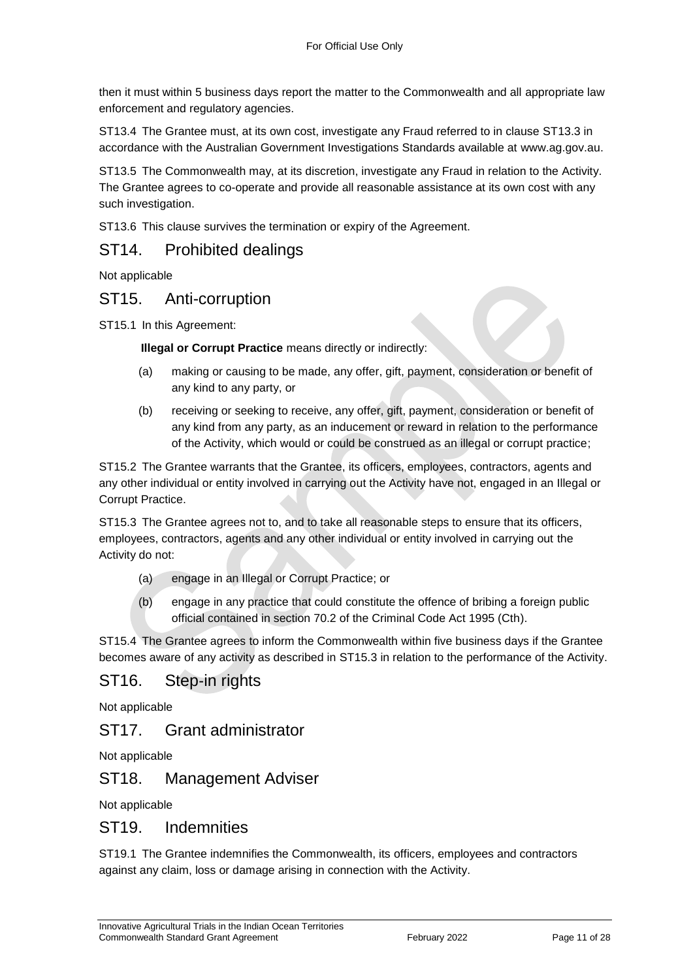then it must within 5 business days report the matter to the Commonwealth and all appropriate law enforcement and regulatory agencies.

ST13.4 The Grantee must, at its own cost, investigate any Fraud referred to in clause ST13.3 in accordance with the Australian Government Investigations Standards available at [www.ag.gov.au.](http://www.ag.gov.au/)

ST13.5 The Commonwealth may, at its discretion, investigate any Fraud in relation to the Activity. The Grantee agrees to co-operate and provide all reasonable assistance at its own cost with any such investigation.

ST13.6 This clause survives the termination or expiry of the Agreement.

#### ST14. Prohibited dealings

Not applicable

#### ST15. Anti-corruption

ST15.1 In this Agreement:

**Illegal or Corrupt Practice** means directly or indirectly:

- (a) making or causing to be made, any offer, gift, payment, consideration or benefit of any kind to any party, or
- (b) receiving or seeking to receive, any offer, gift, payment, consideration or benefit of any kind from any party, as an inducement or reward in relation to the performance of the Activity, which would or could be construed as an illegal or corrupt practice;

ST15.2 The Grantee warrants that the Grantee, its officers, employees, contractors, agents and any other individual or entity involved in carrying out the Activity have not, engaged in an Illegal or Corrupt Practice.

ST15.3 The Grantee agrees not to, and to take all reasonable steps to ensure that its officers, employees, contractors, agents and any other individual or entity involved in carrying out the Activity do not:

- (a) engage in an Illegal or Corrupt Practice; or
- (b) engage in any practice that could constitute the offence of bribing a foreign public official contained in section 70.2 of the Criminal Code Act 1995 (Cth).

ST15.4 The Grantee agrees to inform the Commonwealth within five business days if the Grantee becomes aware of any activity as described in ST15.3 in relation to the performance of the Activity.

### ST16. Step-in rights

Not applicable

#### ST17. Grant administrator

Not applicable

#### ST18. Management Adviser

Not applicable

#### ST19. Indemnities

ST19.1 The Grantee indemnifies the Commonwealth, its officers, employees and contractors against any claim, loss or damage arising in connection with the Activity.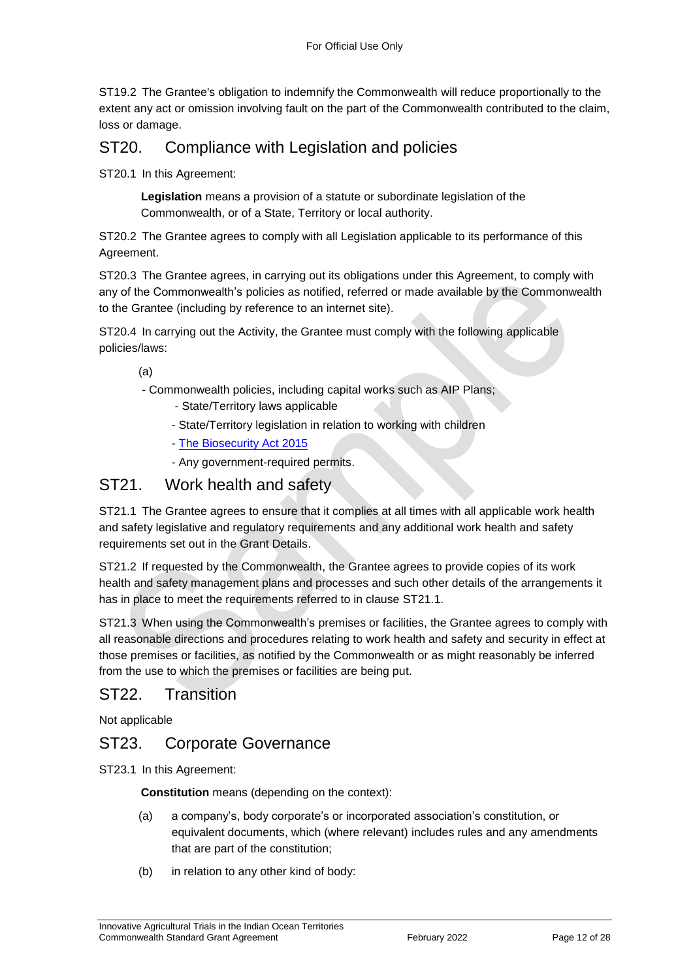ST19.2 The Grantee's obligation to indemnify the Commonwealth will reduce proportionally to the extent any act or omission involving fault on the part of the Commonwealth contributed to the claim, loss or damage.

### ST20. Compliance with Legislation and policies

ST20.1 In this Agreement:

**Legislation** means a provision of a statute or subordinate legislation of the Commonwealth, or of a State, Territory or local authority.

ST20.2 The Grantee agrees to comply with all Legislation applicable to its performance of this Agreement.

ST20.3 The Grantee agrees, in carrying out its obligations under this Agreement, to comply with any of the Commonwealth's policies as notified, referred or made available by the Commonwealth to the Grantee (including by reference to an internet site).

ST20.4 In carrying out the Activity, the Grantee must comply with the following applicable policies/laws:

(a)

- Commonwealth policies, including capital works such as AIP Plans;
	- State/Territory laws applicable
	- State/Territory legislation in relation to working with children
	- [The Biosecurity Act 2015](https://www.agriculture.gov.au/biosecurity/legislation/biosecurity-legislation)
	- Any government-required permits.

### ST21. Work health and safety

ST21.1 The Grantee agrees to ensure that it complies at all times with all applicable work health and safety legislative and regulatory requirements and any additional work health and safety requirements set out in the Grant Details.

ST21.2 If requested by the Commonwealth, the Grantee agrees to provide copies of its work health and safety management plans and processes and such other details of the arrangements it has in place to meet the requirements referred to in clause ST21.1.

ST21.3 When using the Commonwealth's premises or facilities, the Grantee agrees to comply with all reasonable directions and procedures relating to work health and safety and security in effect at those premises or facilities, as notified by the Commonwealth or as might reasonably be inferred from the use to which the premises or facilities are being put.

#### ST22. Transition

Not applicable

### ST23. Corporate Governance

ST23.1 In this Agreement:

**Constitution** means (depending on the context):

- (a) a company's, body corporate's or incorporated association's constitution, or equivalent documents, which (where relevant) includes rules and any amendments that are part of the constitution;
- (b) in relation to any other kind of body: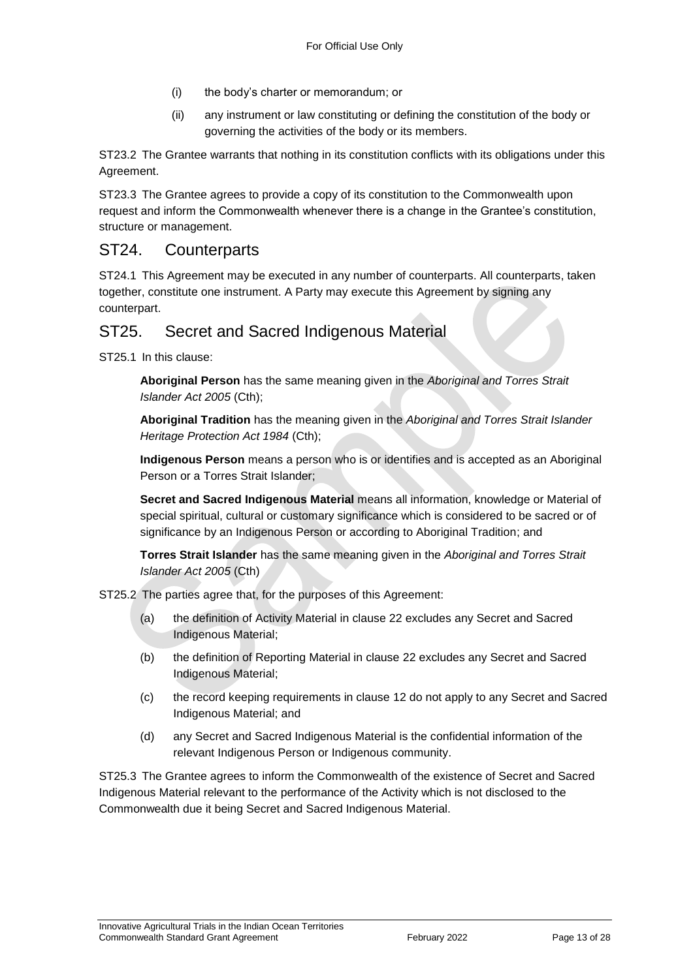- (i) the body's charter or memorandum; or
- (ii) any instrument or law constituting or defining the constitution of the body or governing the activities of the body or its members.

ST23.2 The Grantee warrants that nothing in its constitution conflicts with its obligations under this Agreement.

ST23.3 The Grantee agrees to provide a copy of its constitution to the Commonwealth upon request and inform the Commonwealth whenever there is a change in the Grantee's constitution, structure or management.

### ST24. Counterparts

ST24.1 This Agreement may be executed in any number of counterparts. All counterparts, taken together, constitute one instrument. A Party may execute this Agreement by signing any counterpart.

### ST25. Secret and Sacred Indigenous Material

ST25.1 In this clause:

**Aboriginal Person** has the same meaning given in the *Aboriginal and Torres Strait Islander Act 2005* (Cth);

**Aboriginal Tradition** has the meaning given in the *Aboriginal and Torres Strait Islander Heritage Protection Act 1984* (Cth);

**Indigenous Person** means a person who is or identifies and is accepted as an Aboriginal Person or a Torres Strait Islander;

**Secret and Sacred Indigenous Material** means all information, knowledge or Material of special spiritual, cultural or customary significance which is considered to be sacred or of significance by an Indigenous Person or according to Aboriginal Tradition; and

**Torres Strait Islander** has the same meaning given in the *Aboriginal and Torres Strait Islander Act 2005* (Cth)

ST25.2 The parties agree that, for the purposes of this Agreement:

- (a) the definition of Activity Material in clause 22 excludes any Secret and Sacred Indigenous Material;
- (b) the definition of Reporting Material in clause 22 excludes any Secret and Sacred Indigenous Material;
- (c) the record keeping requirements in clause 12 do not apply to any Secret and Sacred Indigenous Material; and
- (d) any Secret and Sacred Indigenous Material is the confidential information of the relevant Indigenous Person or Indigenous community.

ST25.3 The Grantee agrees to inform the Commonwealth of the existence of Secret and Sacred Indigenous Material relevant to the performance of the Activity which is not disclosed to the Commonwealth due it being Secret and Sacred Indigenous Material.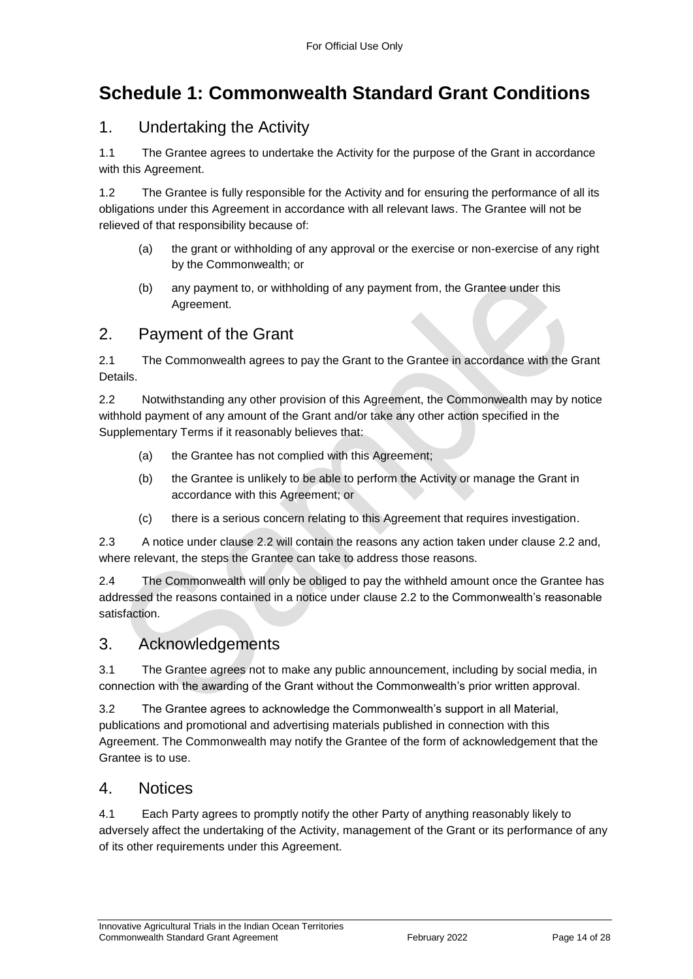## <span id="page-13-0"></span>**Schedule 1: Commonwealth Standard Grant Conditions**

### 1. Undertaking the Activity

1.1 The Grantee agrees to undertake the Activity for the purpose of the Grant in accordance with this Agreement.

1.2 The Grantee is fully responsible for the Activity and for ensuring the performance of all its obligations under this Agreement in accordance with all relevant laws. The Grantee will not be relieved of that responsibility because of:

- (a) the grant or withholding of any approval or the exercise or non‐exercise of any right by the Commonwealth; or
- (b) any payment to, or withholding of any payment from, the Grantee under this Agreement.

### 2. Payment of the Grant

2.1 The Commonwealth agrees to pay the Grant to the Grantee in accordance with the Grant Details.

2.2 Notwithstanding any other provision of this Agreement, the Commonwealth may by notice withhold payment of any amount of the Grant and/or take any other action specified in the Supplementary Terms if it reasonably believes that:

- (a) the Grantee has not complied with this Agreement;
- (b) the Grantee is unlikely to be able to perform the Activity or manage the Grant in accordance with this Agreement; or
- (c) there is a serious concern relating to this Agreement that requires investigation.

2.3 A notice under clause 2.2 will contain the reasons any action taken under clause 2.2 and, where relevant, the steps the Grantee can take to address those reasons.

2.4 The Commonwealth will only be obliged to pay the withheld amount once the Grantee has addressed the reasons contained in a notice under clause 2.2 to the Commonwealth's reasonable satisfaction.

#### 3. Acknowledgements

3.1 The Grantee agrees not to make any public announcement, including by social media, in connection with the awarding of the Grant without the Commonwealth's prior written approval.

3.2 The Grantee agrees to acknowledge the Commonwealth's support in all Material, publications and promotional and advertising materials published in connection with this Agreement. The Commonwealth may notify the Grantee of the form of acknowledgement that the Grantee is to use.

#### 4. Notices

4.1 Each Party agrees to promptly notify the other Party of anything reasonably likely to adversely affect the undertaking of the Activity, management of the Grant or its performance of any of its other requirements under this Agreement.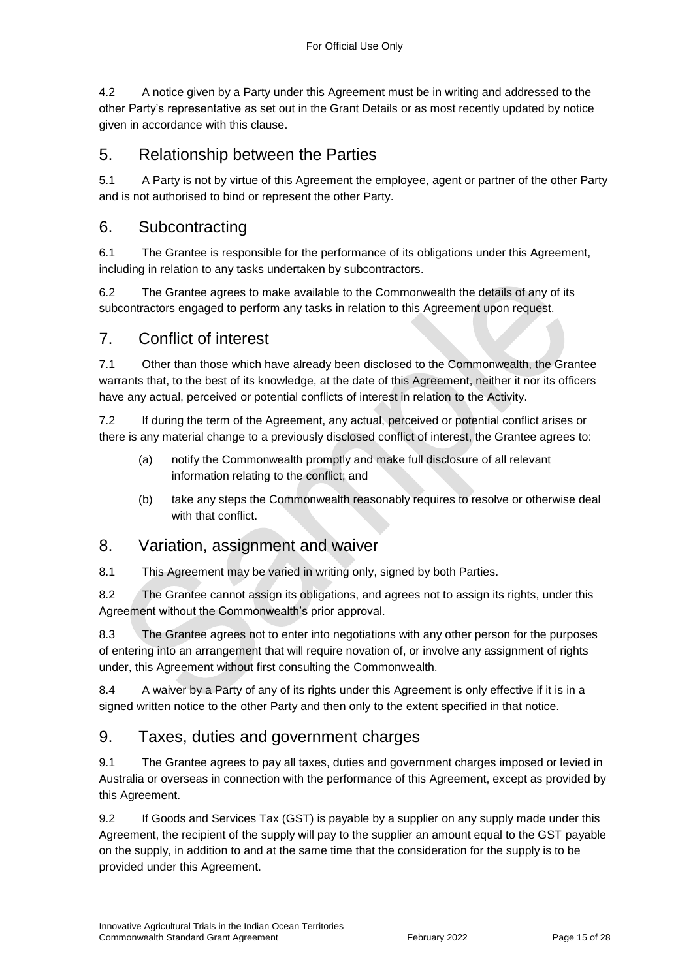4.2 A notice given by a Party under this Agreement must be in writing and addressed to the other Party's representative as set out in the Grant Details or as most recently updated by notice given in accordance with this clause.

### 5. Relationship between the Parties

5.1 A Party is not by virtue of this Agreement the employee, agent or partner of the other Party and is not authorised to bind or represent the other Party.

#### 6. Subcontracting

6.1 The Grantee is responsible for the performance of its obligations under this Agreement, including in relation to any tasks undertaken by subcontractors.

6.2 The Grantee agrees to make available to the Commonwealth the details of any of its subcontractors engaged to perform any tasks in relation to this Agreement upon request.

#### 7. Conflict of interest

7.1 Other than those which have already been disclosed to the Commonwealth, the Grantee warrants that, to the best of its knowledge, at the date of this Agreement, neither it nor its officers have any actual, perceived or potential conflicts of interest in relation to the Activity.

7.2 If during the term of the Agreement, any actual, perceived or potential conflict arises or there is any material change to a previously disclosed conflict of interest, the Grantee agrees to:

- (a) notify the Commonwealth promptly and make full disclosure of all relevant information relating to the conflict; and
- (b) take any steps the Commonwealth reasonably requires to resolve or otherwise deal with that conflict.

#### 8. Variation, assignment and waiver

8.1 This Agreement may be varied in writing only, signed by both Parties.

8.2 The Grantee cannot assign its obligations, and agrees not to assign its rights, under this Agreement without the Commonwealth's prior approval.

8.3 The Grantee agrees not to enter into negotiations with any other person for the purposes of entering into an arrangement that will require novation of, or involve any assignment of rights under, this Agreement without first consulting the Commonwealth.

8.4 A waiver by a Party of any of its rights under this Agreement is only effective if it is in a signed written notice to the other Party and then only to the extent specified in that notice.

### 9. Taxes, duties and government charges

9.1 The Grantee agrees to pay all taxes, duties and government charges imposed or levied in Australia or overseas in connection with the performance of this Agreement, except as provided by this Agreement.

9.2 If Goods and Services Tax (GST) is payable by a supplier on any supply made under this Agreement, the recipient of the supply will pay to the supplier an amount equal to the GST payable on the supply, in addition to and at the same time that the consideration for the supply is to be provided under this Agreement.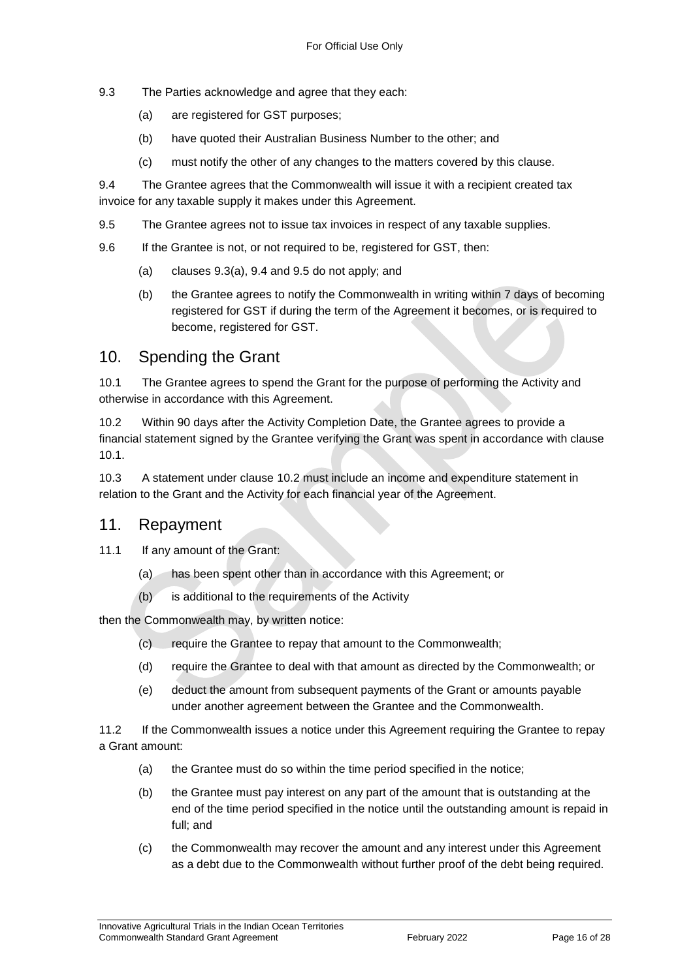- 9.3 The Parties acknowledge and agree that they each:
	- (a) are registered for GST purposes;
	- (b) have quoted their Australian Business Number to the other; and
	- (c) must notify the other of any changes to the matters covered by this clause.

9.4 The Grantee agrees that the Commonwealth will issue it with a recipient created tax invoice for any taxable supply it makes under this Agreement.

9.5 The Grantee agrees not to issue tax invoices in respect of any taxable supplies.

9.6 If the Grantee is not, or not required to be, registered for GST, then:

- (a) clauses 9.3(a), 9.4 and 9.5 do not apply; and
- (b) the Grantee agrees to notify the Commonwealth in writing within 7 days of becoming registered for GST if during the term of the Agreement it becomes, or is required to become, registered for GST.

#### 10. Spending the Grant

10.1 The Grantee agrees to spend the Grant for the purpose of performing the Activity and otherwise in accordance with this Agreement.

10.2 Within 90 days after the Activity Completion Date, the Grantee agrees to provide a financial statement signed by the Grantee verifying the Grant was spent in accordance with clause 10.1.

10.3 A statement under clause 10.2 must include an income and expenditure statement in relation to the Grant and the Activity for each financial year of the Agreement.

#### 11. Repayment

- 11.1 If any amount of the Grant:
	- (a) has been spent other than in accordance with this Agreement; or
	- (b) is additional to the requirements of the Activity

then the Commonwealth may, by written notice:

- (c) require the Grantee to repay that amount to the Commonwealth;
- (d) require the Grantee to deal with that amount as directed by the Commonwealth; or
- (e) deduct the amount from subsequent payments of the Grant or amounts payable under another agreement between the Grantee and the Commonwealth.

11.2 If the Commonwealth issues a notice under this Agreement requiring the Grantee to repay a Grant amount:

- (a) the Grantee must do so within the time period specified in the notice;
- (b) the Grantee must pay interest on any part of the amount that is outstanding at the end of the time period specified in the notice until the outstanding amount is repaid in full; and
- (c) the Commonwealth may recover the amount and any interest under this Agreement as a debt due to the Commonwealth without further proof of the debt being required.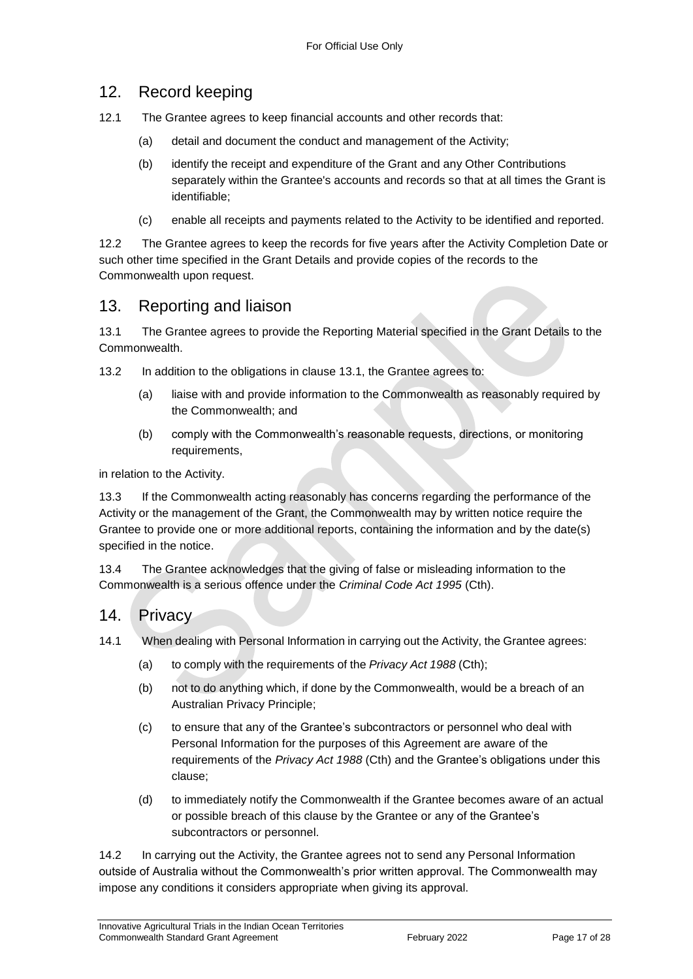#### 12. Record keeping

- 12.1 The Grantee agrees to keep financial accounts and other records that:
	- (a) detail and document the conduct and management of the Activity;
	- (b) identify the receipt and expenditure of the Grant and any Other Contributions separately within the Grantee's accounts and records so that at all times the Grant is identifiable;
	- (c) enable all receipts and payments related to the Activity to be identified and reported.

12.2 The Grantee agrees to keep the records for five years after the Activity Completion Date or such other time specified in the Grant Details and provide copies of the records to the Commonwealth upon request.

#### 13. Reporting and liaison

13.1 The Grantee agrees to provide the Reporting Material specified in the Grant Details to the Commonwealth.

13.2 In addition to the obligations in clause 13.1, the Grantee agrees to:

- (a) liaise with and provide information to the Commonwealth as reasonably required by the Commonwealth; and
- (b) comply with the Commonwealth's reasonable requests, directions, or monitoring requirements,

in relation to the Activity.

13.3 If the Commonwealth acting reasonably has concerns regarding the performance of the Activity or the management of the Grant, the Commonwealth may by written notice require the Grantee to provide one or more additional reports, containing the information and by the date(s) specified in the notice.

13.4 The Grantee acknowledges that the giving of false or misleading information to the Commonwealth is a serious offence under the *Criminal Code Act 1995* (Cth).

14. Privacy

14.1 When dealing with Personal Information in carrying out the Activity, the Grantee agrees:

- (a) to comply with the requirements of the *Privacy Act 1988* (Cth);
- (b) not to do anything which, if done by the Commonwealth, would be a breach of an Australian Privacy Principle;
- (c) to ensure that any of the Grantee's subcontractors or personnel who deal with Personal Information for the purposes of this Agreement are aware of the requirements of the *Privacy Act 1988* (Cth) and the Grantee's obligations under this clause;
- (d) to immediately notify the Commonwealth if the Grantee becomes aware of an actual or possible breach of this clause by the Grantee or any of the Grantee's subcontractors or personnel.

14.2 In carrying out the Activity, the Grantee agrees not to send any Personal Information outside of Australia without the Commonwealth's prior written approval. The Commonwealth may impose any conditions it considers appropriate when giving its approval.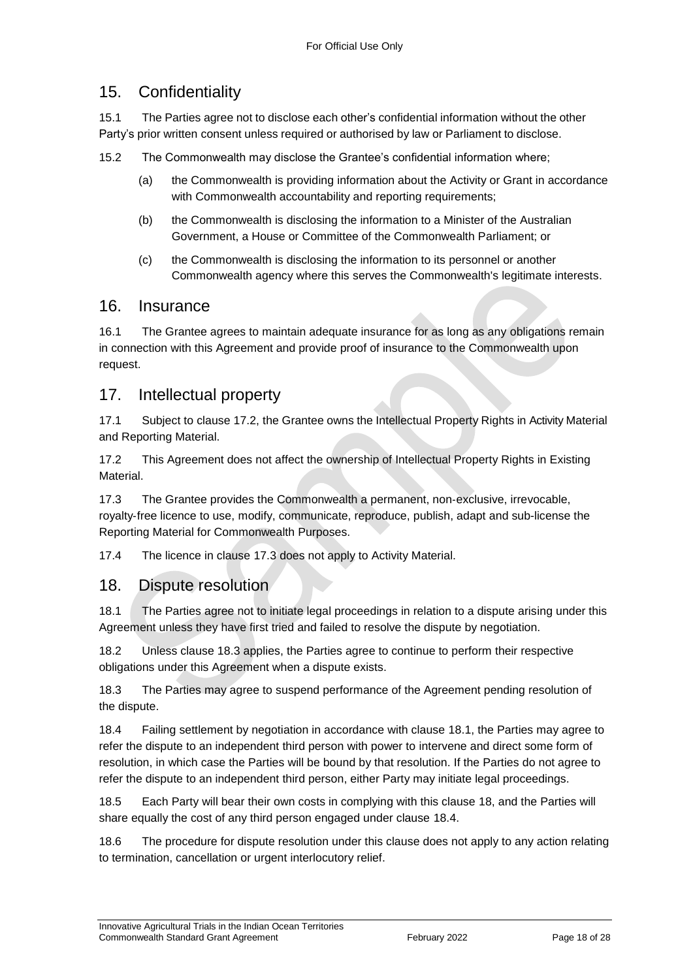### 15. Confidentiality

15.1 The Parties agree not to disclose each other's confidential information without the other Party's prior written consent unless required or authorised by law or Parliament to disclose.

15.2 The Commonwealth may disclose the Grantee's confidential information where;

- (a) the Commonwealth is providing information about the Activity or Grant in accordance with Commonwealth accountability and reporting requirements;
- (b) the Commonwealth is disclosing the information to a Minister of the Australian Government, a House or Committee of the Commonwealth Parliament; or
- (c) the Commonwealth is disclosing the information to its personnel or another Commonwealth agency where this serves the Commonwealth's legitimate interests.

#### 16. Insurance

16.1 The Grantee agrees to maintain adequate insurance for as long as any obligations remain in connection with this Agreement and provide proof of insurance to the Commonwealth upon request.

#### 17. Intellectual property

17.1 Subject to clause 17.2, the Grantee owns the Intellectual Property Rights in Activity Material and Reporting Material.

17.2 This Agreement does not affect the ownership of Intellectual Property Rights in Existing Material.

17.3 The Grantee provides the Commonwealth a permanent, non‐exclusive, irrevocable, royalty‐free licence to use, modify, communicate, reproduce, publish, adapt and sub-license the Reporting Material for Commonwealth Purposes.

17.4 The licence in clause 17.3 does not apply to Activity Material.

#### 18. Dispute resolution

18.1 The Parties agree not to initiate legal proceedings in relation to a dispute arising under this Agreement unless they have first tried and failed to resolve the dispute by negotiation.

18.2 Unless clause 18.3 applies, the Parties agree to continue to perform their respective obligations under this Agreement when a dispute exists.

18.3 The Parties may agree to suspend performance of the Agreement pending resolution of the dispute.

18.4 Failing settlement by negotiation in accordance with clause 18.1, the Parties may agree to refer the dispute to an independent third person with power to intervene and direct some form of resolution, in which case the Parties will be bound by that resolution. If the Parties do not agree to refer the dispute to an independent third person, either Party may initiate legal proceedings.

18.5 Each Party will bear their own costs in complying with this clause 18, and the Parties will share equally the cost of any third person engaged under clause 18.4.

18.6 The procedure for dispute resolution under this clause does not apply to any action relating to termination, cancellation or urgent interlocutory relief.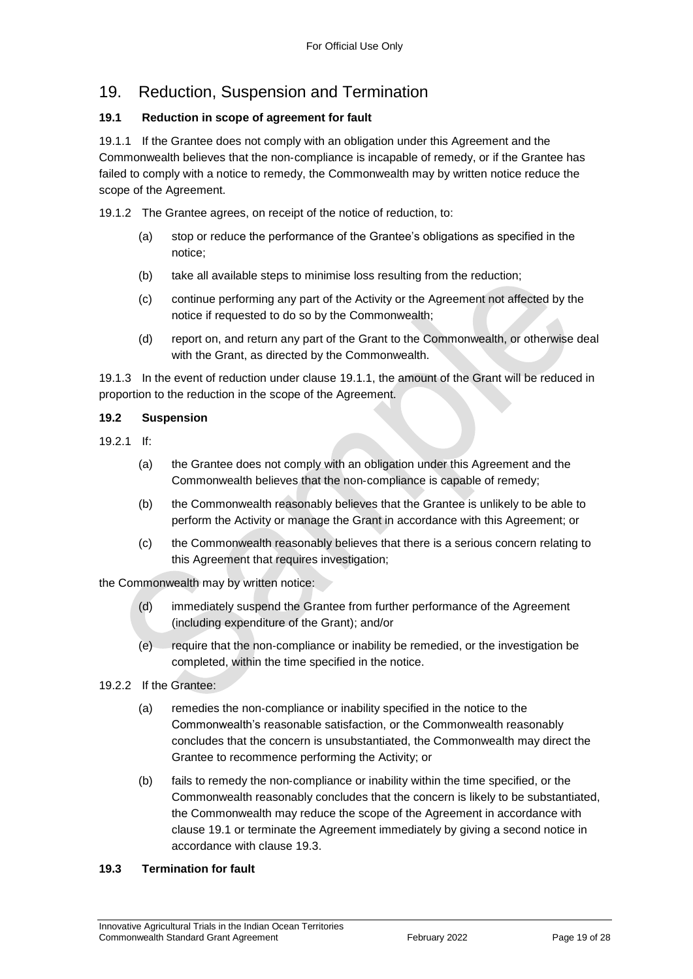### 19. Reduction, Suspension and Termination

#### **19.1 Reduction in scope of agreement for fault**

19.1.1 If the Grantee does not comply with an obligation under this Agreement and the Commonwealth believes that the non‐compliance is incapable of remedy, or if the Grantee has failed to comply with a notice to remedy, the Commonwealth may by written notice reduce the scope of the Agreement.

19.1.2 The Grantee agrees, on receipt of the notice of reduction, to:

- (a) stop or reduce the performance of the Grantee's obligations as specified in the notice;
- (b) take all available steps to minimise loss resulting from the reduction;
- (c) continue performing any part of the Activity or the Agreement not affected by the notice if requested to do so by the Commonwealth;
- (d) report on, and return any part of the Grant to the Commonwealth, or otherwise deal with the Grant, as directed by the Commonwealth.

19.1.3 In the event of reduction under clause 19.1.1, the amount of the Grant will be reduced in proportion to the reduction in the scope of the Agreement.

#### **19.2 Suspension**

- 19.2.1 If:
	- (a) the Grantee does not comply with an obligation under this Agreement and the Commonwealth believes that the non‐compliance is capable of remedy;
	- (b) the Commonwealth reasonably believes that the Grantee is unlikely to be able to perform the Activity or manage the Grant in accordance with this Agreement; or
	- (c) the Commonwealth reasonably believes that there is a serious concern relating to this Agreement that requires investigation;

the Commonwealth may by written notice:

- (d) immediately suspend the Grantee from further performance of the Agreement (including expenditure of the Grant); and/or
- (e) require that the non‐compliance or inability be remedied, or the investigation be completed, within the time specified in the notice.
- 19.2.2 If the Grantee:
	- (a) remedies the non‐compliance or inability specified in the notice to the Commonwealth's reasonable satisfaction, or the Commonwealth reasonably concludes that the concern is unsubstantiated, the Commonwealth may direct the Grantee to recommence performing the Activity; or
	- (b) fails to remedy the non‐compliance or inability within the time specified, or the Commonwealth reasonably concludes that the concern is likely to be substantiated, the Commonwealth may reduce the scope of the Agreement in accordance with clause 19.1 or terminate the Agreement immediately by giving a second notice in accordance with clause 19.3.

#### **19.3 Termination for fault**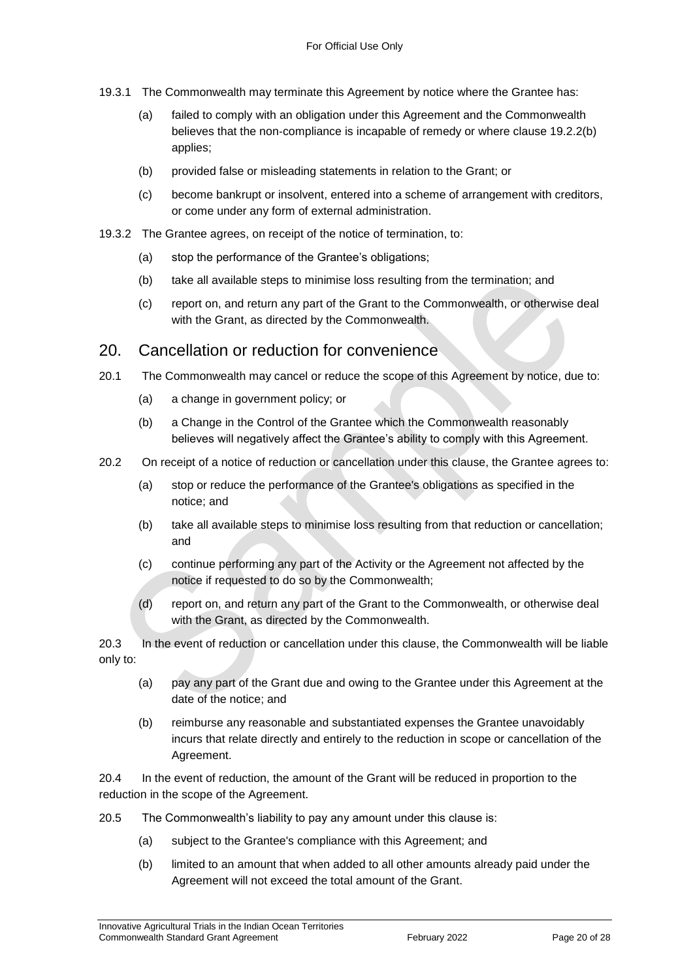- 19.3.1 The Commonwealth may terminate this Agreement by notice where the Grantee has:
	- (a) failed to comply with an obligation under this Agreement and the Commonwealth believes that the non-compliance is incapable of remedy or where clause 19.2.2(b) applies;
	- (b) provided false or misleading statements in relation to the Grant; or
	- (c) become bankrupt or insolvent, entered into a scheme of arrangement with creditors, or come under any form of external administration.
- 19.3.2 The Grantee agrees, on receipt of the notice of termination, to:
	- (a) stop the performance of the Grantee's obligations;
	- (b) take all available steps to minimise loss resulting from the termination; and
	- (c) report on, and return any part of the Grant to the Commonwealth, or otherwise deal with the Grant, as directed by the Commonwealth.

#### 20. Cancellation or reduction for convenience

- 20.1 The Commonwealth may cancel or reduce the scope of this Agreement by notice, due to:
	- (a) a change in government policy; or
	- (b) a Change in the Control of the Grantee which the Commonwealth reasonably believes will negatively affect the Grantee's ability to comply with this Agreement.
- 20.2 On receipt of a notice of reduction or cancellation under this clause, the Grantee agrees to:
	- (a) stop or reduce the performance of the Grantee's obligations as specified in the notice; and
	- (b) take all available steps to minimise loss resulting from that reduction or cancellation; and
	- (c) continue performing any part of the Activity or the Agreement not affected by the notice if requested to do so by the Commonwealth;
	- (d) report on, and return any part of the Grant to the Commonwealth, or otherwise deal with the Grant, as directed by the Commonwealth.

20.3 In the event of reduction or cancellation under this clause, the Commonwealth will be liable only to:

- (a) pay any part of the Grant due and owing to the Grantee under this Agreement at the date of the notice; and
- (b) reimburse any reasonable and substantiated expenses the Grantee unavoidably incurs that relate directly and entirely to the reduction in scope or cancellation of the Agreement.

20.4 In the event of reduction, the amount of the Grant will be reduced in proportion to the reduction in the scope of the Agreement.

- 20.5 The Commonwealth's liability to pay any amount under this clause is:
	- (a) subject to the Grantee's compliance with this Agreement; and
	- (b) limited to an amount that when added to all other amounts already paid under the Agreement will not exceed the total amount of the Grant.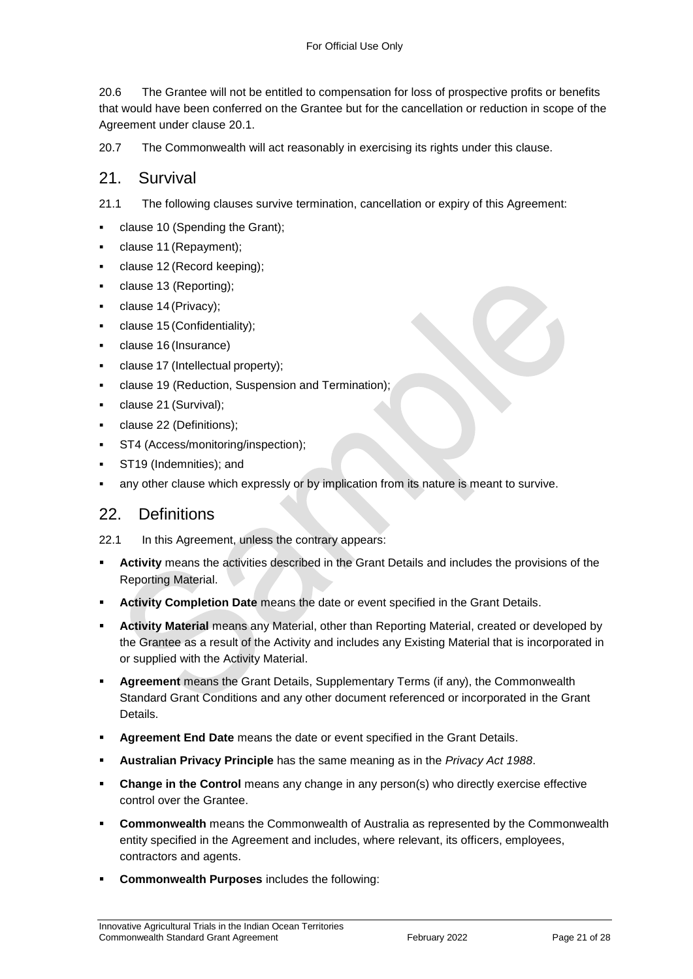20.6 The Grantee will not be entitled to compensation for loss of prospective profits or benefits that would have been conferred on the Grantee but for the cancellation or reduction in scope of the Agreement under clause 20.1.

20.7 The Commonwealth will act reasonably in exercising its rights under this clause.

#### 21. Survival

21.1 The following clauses survive termination, cancellation or expiry of this Agreement:

- clause 10 (Spending the Grant);
- clause 11 (Repayment);
- clause 12 (Record keeping);
- clause 13 (Reporting);
- clause 14 (Privacy);
- clause 15 (Confidentiality);
- clause 16 (Insurance)
- clause 17 (Intellectual property);
- clause 19 (Reduction, Suspension and Termination);
- clause 21 (Survival);
- clause 22 (Definitions);
- ST4 (Access/monitoring/inspection);
- ST19 (Indemnities); and
- any other clause which expressly or by implication from its nature is meant to survive.

#### 22. Definitions

22.1 In this Agreement, unless the contrary appears:

- **Activity** means the activities described in the Grant Details and includes the provisions of the Reporting Material.
- **Activity Completion Date** means the date or event specified in the Grant Details.
- **Activity Material** means any Material, other than Reporting Material, created or developed by the Grantee as a result of the Activity and includes any Existing Material that is incorporated in or supplied with the Activity Material.
- **Agreement** means the Grant Details, Supplementary Terms (if any), the Commonwealth Standard Grant Conditions and any other document referenced or incorporated in the Grant Details.
- **Agreement End Date** means the date or event specified in the Grant Details.
- **Australian Privacy Principle** has the same meaning as in the *Privacy Act 1988*.
- **Change in the Control** means any change in any person(s) who directly exercise effective control over the Grantee.
- **Commonwealth** means the Commonwealth of Australia as represented by the Commonwealth entity specified in the Agreement and includes, where relevant, its officers, employees, contractors and agents.
- **Commonwealth Purposes** includes the following: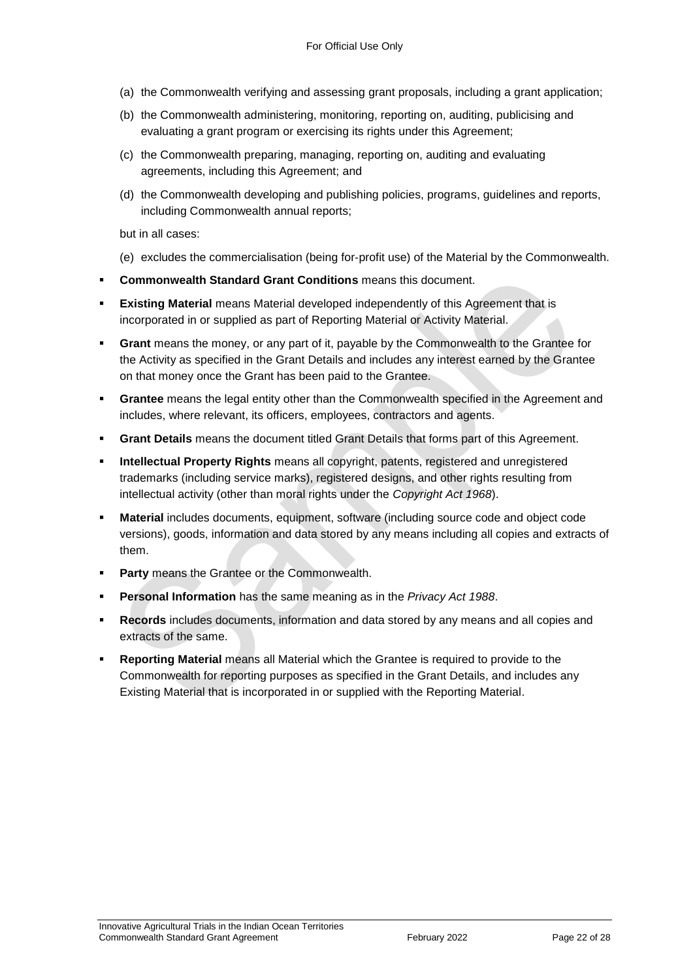- (a) the Commonwealth verifying and assessing grant proposals, including a grant application;
- (b) the Commonwealth administering, monitoring, reporting on, auditing, publicising and evaluating a grant program or exercising its rights under this Agreement;
- (c) the Commonwealth preparing, managing, reporting on, auditing and evaluating agreements, including this Agreement; and
- (d) the Commonwealth developing and publishing policies, programs, guidelines and reports, including Commonwealth annual reports;

but in all cases:

- (e) excludes the commercialisation (being for‐profit use) of the Material by the Commonwealth.
- **Commonwealth Standard Grant Conditions** means this document.
- **Existing Material** means Material developed independently of this Agreement that is incorporated in or supplied as part of Reporting Material or Activity Material.
- **Grant** means the money, or any part of it, payable by the Commonwealth to the Grantee for the Activity as specified in the Grant Details and includes any interest earned by the Grantee on that money once the Grant has been paid to the Grantee.
- **Grantee** means the legal entity other than the Commonwealth specified in the Agreement and includes, where relevant, its officers, employees, contractors and agents.
- **Grant Details** means the document titled Grant Details that forms part of this Agreement.
- **Intellectual Property Rights** means all copyright, patents, registered and unregistered trademarks (including service marks), registered designs, and other rights resulting from intellectual activity (other than moral rights under the *Copyright Act 1968*).
- **Material** includes documents, equipment, software (including source code and object code versions), goods, information and data stored by any means including all copies and extracts of them.
- **Party** means the Grantee or the Commonwealth.
- **Personal Information** has the same meaning as in the *Privacy Act 1988*.
- **Records** includes documents, information and data stored by any means and all copies and extracts of the same.
- **Reporting Material** means all Material which the Grantee is required to provide to the Commonwealth for reporting purposes as specified in the Grant Details, and includes any Existing Material that is incorporated in or supplied with the Reporting Material.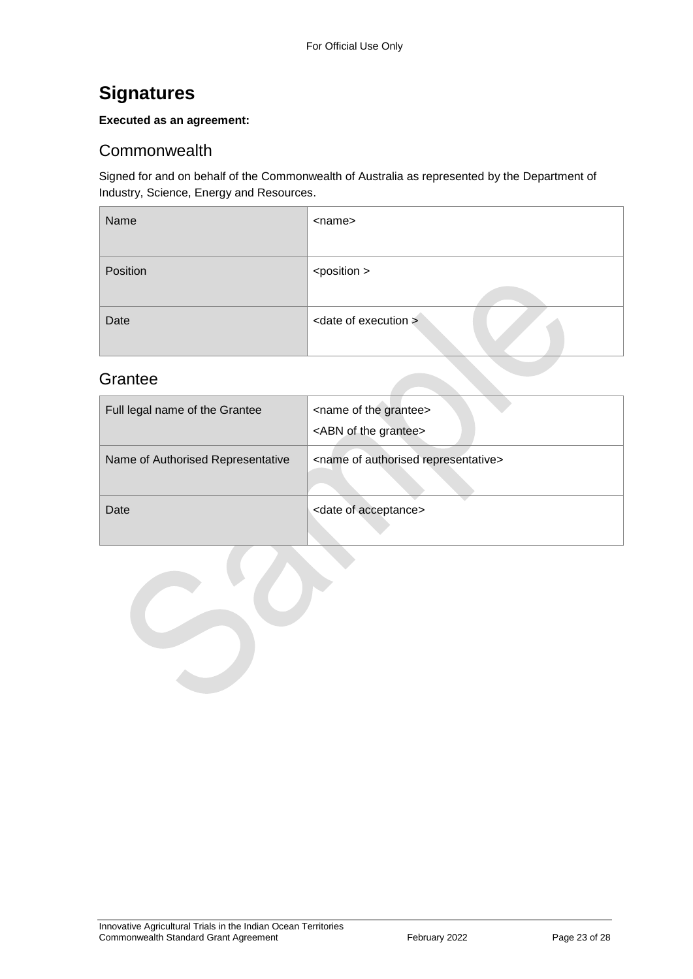## <span id="page-22-0"></span>**Signatures**

#### **Executed as an agreement:**

#### <span id="page-22-1"></span>**Commonwealth**

Signed for and on behalf of the Commonwealth of Australia as represented by the Department of Industry, Science, Energy and Resources.

| Name     | <name></name>                    |
|----------|----------------------------------|
| Position | <position></position>            |
| Date     | <date execution="" of=""></date> |

#### <span id="page-22-2"></span>**Grantee**

| Full legal name of the Grantee    | <name grantee="" of="" the=""><br/><abn grantee="" of="" the=""></abn></name> |
|-----------------------------------|-------------------------------------------------------------------------------|
| Name of Authorised Representative | <name authorised="" of="" representative=""></name>                           |
| Date                              | <date acceptance="" of=""></date>                                             |

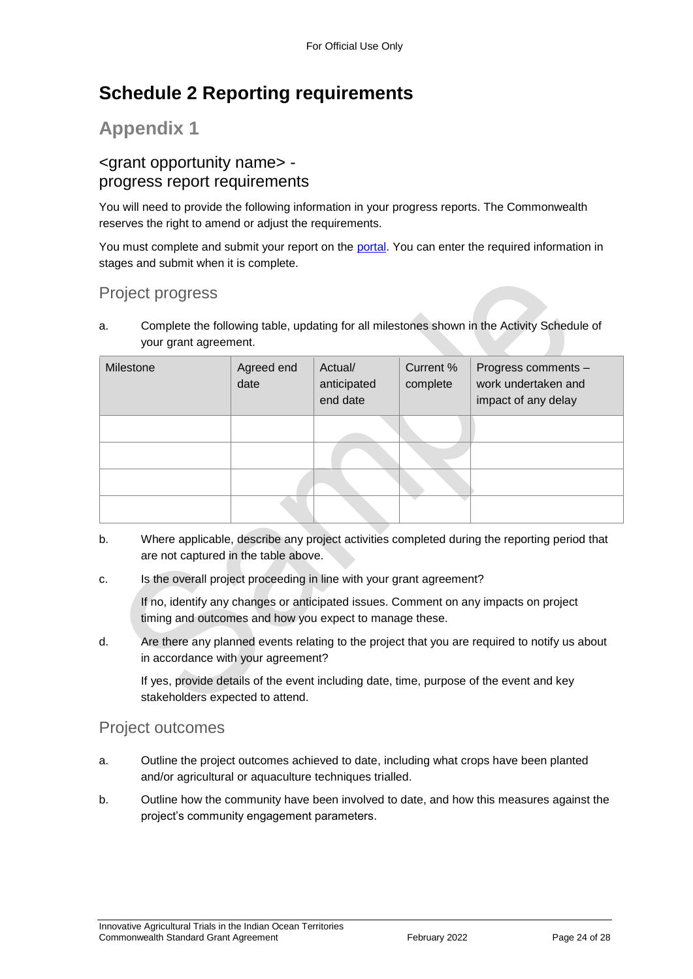## <span id="page-23-0"></span>**Schedule 2 Reporting requirements**

## **Appendix 1**

### <grant opportunity name> progress report requirements

You will need to provide the following information in your progress reports. The Commonwealth reserves the right to amend or adjust the requirements.

You must complete and submit your report on the [portal.](https://portal.business.gov.au/) You can enter the required information in stages and submit when it is complete.

### Project progress

a. Complete the following table, updating for all milestones shown in the Activity Schedule of your grant agreement.

| Milestone | Agreed end<br>date | Actual/<br>anticipated<br>end date | Current %<br>complete | Progress comments -<br>work undertaken and<br>impact of any delay |
|-----------|--------------------|------------------------------------|-----------------------|-------------------------------------------------------------------|
|           |                    |                                    |                       |                                                                   |
|           |                    |                                    |                       |                                                                   |
|           |                    |                                    |                       |                                                                   |
|           |                    |                                    |                       |                                                                   |

- b. Where applicable, describe any project activities completed during the reporting period that are not captured in the table above.
- c. Is the overall project proceeding in line with your grant agreement?

If no, identify any changes or anticipated issues. Comment on any impacts on project timing and outcomes and how you expect to manage these.

d. Are there any planned events relating to the project that you are required to notify us about in accordance with your agreement?

If yes, provide details of the event including date, time, purpose of the event and key stakeholders expected to attend.

#### Project outcomes

- a. Outline the project outcomes achieved to date, including what crops have been planted and/or agricultural or aquaculture techniques trialled.
- b. Outline how the community have been involved to date, and how this measures against the project's community engagement parameters.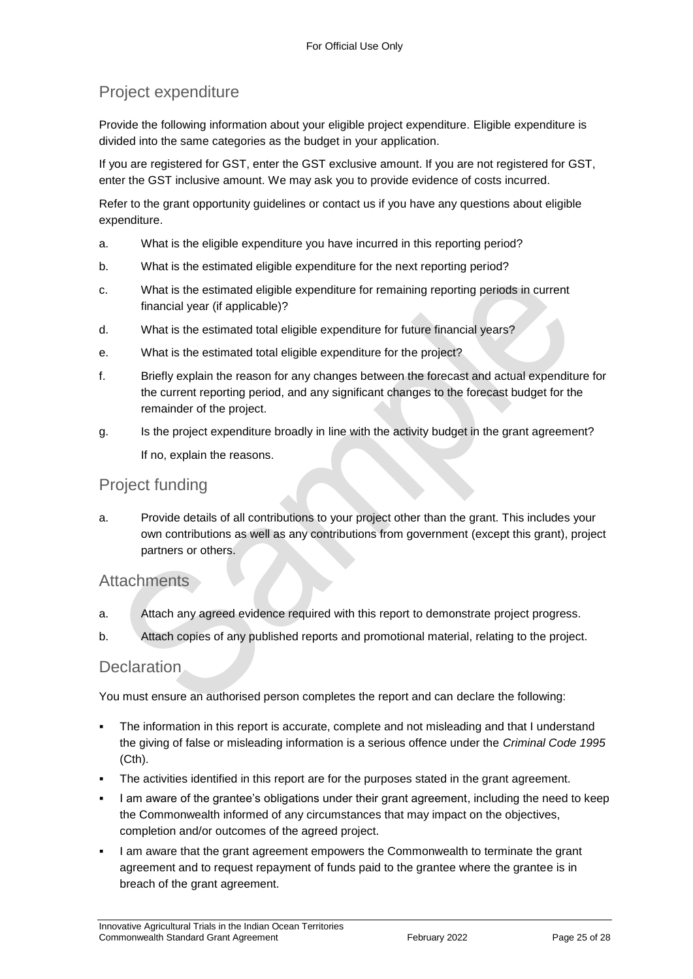### Project expenditure

Provide the following information about your eligible project expenditure. Eligible expenditure is divided into the same categories as the budget in your application.

If you are registered for GST, enter the GST exclusive amount. If you are not registered for GST, enter the GST inclusive amount. We may ask you to provide evidence of costs incurred.

Refer to the grant opportunity guidelines or contact us if you have any questions about eligible expenditure.

- a. What is the eligible expenditure you have incurred in this reporting period?
- b. What is the estimated eligible expenditure for the next reporting period?
- c. What is the estimated eligible expenditure for remaining reporting periods in current financial year (if applicable)?
- d. What is the estimated total eligible expenditure for future financial years?
- e. What is the estimated total eligible expenditure for the project?
- f. Briefly explain the reason for any changes between the forecast and actual expenditure for the current reporting period, and any significant changes to the forecast budget for the remainder of the project.
- g. Is the project expenditure broadly in line with the activity budget in the grant agreement? If no, explain the reasons.

#### Project funding

a. Provide details of all contributions to your project other than the grant. This includes your own contributions as well as any contributions from government (except this grant), project partners or others.

#### **Attachments**

- a. Attach any agreed evidence required with this report to demonstrate project progress.
- b. Attach copies of any published reports and promotional material, relating to the project.

#### **Declaration**

You must ensure an authorised person completes the report and can declare the following:

- The information in this report is accurate, complete and not misleading and that I understand the giving of false or misleading information is a serious offence under the *Criminal Code 1995* (Cth).
- The activities identified in this report are for the purposes stated in the grant agreement.
- I am aware of the grantee's obligations under their grant agreement, including the need to keep the Commonwealth informed of any circumstances that may impact on the objectives, completion and/or outcomes of the agreed project.
- I am aware that the grant agreement empowers the Commonwealth to terminate the grant agreement and to request repayment of funds paid to the grantee where the grantee is in breach of the grant agreement.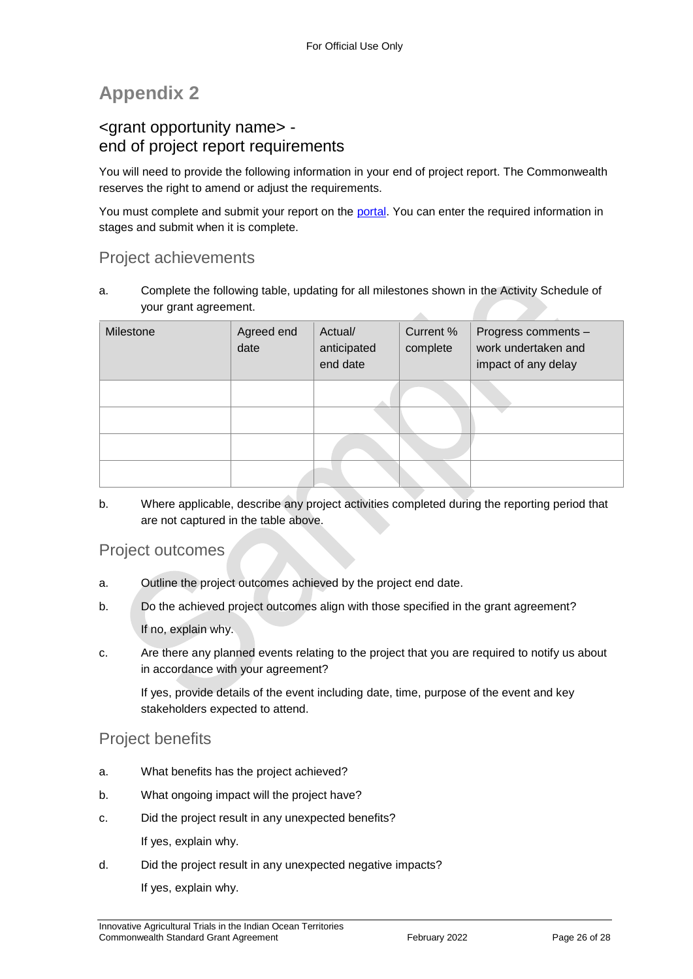## **Appendix 2**

### <grant opportunity name> end of project report requirements

You will need to provide the following information in your end of project report. The Commonwealth reserves the right to amend or adjust the requirements.

You must complete and submit your report on the [portal.](https://portal.business.gov.au/) You can enter the required information in stages and submit when it is complete.

### Project achievements

a. Complete the following table, updating for all milestones shown in the Activity Schedule of your grant agreement.

| Milestone | Agreed end<br>date | Actual/<br>anticipated<br>end date | Current %<br>complete | Progress comments -<br>work undertaken and<br>impact of any delay |
|-----------|--------------------|------------------------------------|-----------------------|-------------------------------------------------------------------|
|           |                    |                                    |                       |                                                                   |
|           |                    |                                    |                       |                                                                   |
|           |                    |                                    |                       |                                                                   |
|           |                    |                                    |                       |                                                                   |

b. Where applicable, describe any project activities completed during the reporting period that are not captured in the table above.

#### Project outcomes

- a. Outline the project outcomes achieved by the project end date.
- b. Do the achieved project outcomes align with those specified in the grant agreement? If no, explain why.
- c. Are there any planned events relating to the project that you are required to notify us about in accordance with your agreement?

If yes, provide details of the event including date, time, purpose of the event and key stakeholders expected to attend.

#### Project benefits

- a. What benefits has the project achieved?
- b. What ongoing impact will the project have?
- c. Did the project result in any unexpected benefits?

If yes, explain why.

d. Did the project result in any unexpected negative impacts?

If yes, explain why.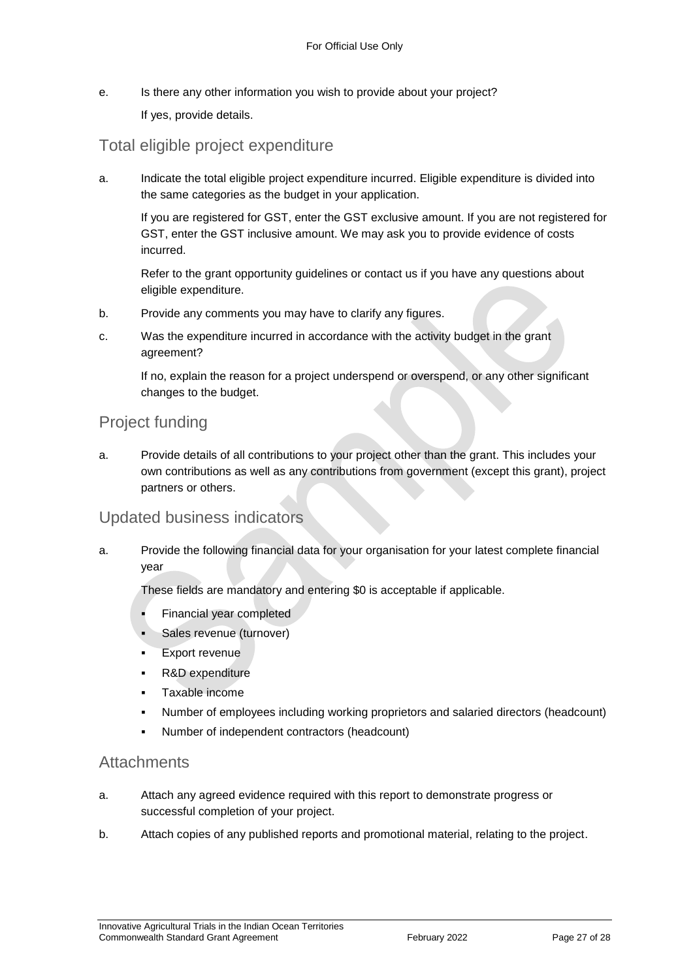e. Is there any other information you wish to provide about your project?

If yes, provide details.

#### Total eligible project expenditure

a. Indicate the total eligible project expenditure incurred. Eligible expenditure is divided into the same categories as the budget in your application.

If you are registered for GST, enter the GST exclusive amount. If you are not registered for GST, enter the GST inclusive amount. We may ask you to provide evidence of costs incurred.

Refer to the grant opportunity guidelines or contact us if you have any questions about eligible expenditure.

- b. Provide any comments you may have to clarify any figures.
- c. Was the expenditure incurred in accordance with the activity budget in the grant agreement?

If no, explain the reason for a project underspend or overspend, or any other significant changes to the budget.

#### Project funding

a. Provide details of all contributions to your project other than the grant. This includes your own contributions as well as any contributions from government (except this grant), project partners or others.

#### Updated business indicators

a. Provide the following financial data for your organisation for your latest complete financial year

These fields are mandatory and entering \$0 is acceptable if applicable.

- Financial year completed
- Sales revenue (turnover)
- Export revenue
- R&D expenditure
- Taxable income
- Number of employees including working proprietors and salaried directors (headcount)
- Number of independent contractors (headcount)

#### **Attachments**

- a. Attach any agreed evidence required with this report to demonstrate progress or successful completion of your project.
- b. Attach copies of any published reports and promotional material, relating to the project.